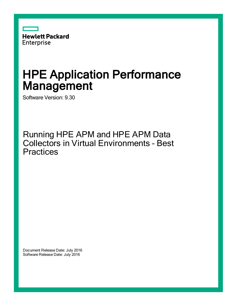

# HPE Application Performance **Management**

Software Version: 9.30

Running HPE APM and HPE APM Data Collectors in Virtual Environments - Best **Practices** 

Document Release Date: July 2016 Software Release Date: July 2016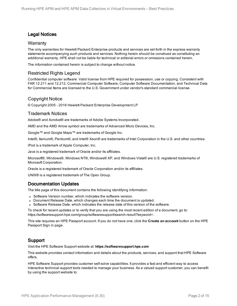### Legal Notices

#### **Warranty**

The only warranties for Hewlett Packard Enterprise products and services are set forth in the express warranty statements accompanying such products and services. Nothing herein should be construed as constituting an additional warranty. HPE shall not be liable for technical or editorial errors or omissions contained herein.

The information contained herein is subject to change without notice.

### Restricted Rights Legend

Confidential computer software. Valid license from HPE required for possession, use or copying. Consistent with FAR 12.211 and 12.212, Commercial Computer Software, Computer Software Documentation, and Technical Data for Commercial Items are licensed to the U.S. Government under vendor's standard commercial license.

### Copyright Notice

© Copyright 2005 - 2016 Hewlett Packard Enterprise Development LP

#### Trademark Notices

Adobe® and Acrobat® are trademarks of Adobe Systems Incorporated.

AMD and the AMD Arrow symbol are trademarks of Advanced Micro Devices, Inc.

Google™ and Google Maps™ are trademarks of Google Inc.

Intel®, Itanium®, Pentium®, and Intel® Xeon® are trademarks of Intel Corporation in the U.S. and other countries.

iPod is a trademark of Apple Computer, Inc.

Java is a registered trademark of Oracle and/or its affiliates.

Microsoft®, Windows®, Windows NT®, Windows® XP, and Windows Vista® are U.S. registered trademarks of Microsoft Corporation.

Oracle is a registered trademark of Oracle Corporation and/or its affiliates.

UNIX® is a registered trademark of The Open Group.

#### Documentation Updates

The title page of this document contains the following identifying information:

- Software Version number, which indicates the software version.
- Document Release Date, which changes each time the document is updated.
- Software Release Date, which indicates the release date of this version of the software.

To check for recent updates or to verify that you are using the most recent edition of a document, go to: https://softwaresupport.hpe.com/group/softwaresupport/search-result?keyword=.

This site requires an HPE Passport account. If you do not have one, click the **Create an account** button on the HPE Passport Sign in page.

### Support

Visit the HPE Software Support website at: **https://softwaresupport.hpe.com**

This website provides contact information and details about the products, services, and support that HPE Software offers.

HPE Software Support provides customer self-solve capabilities. It provides a fast and efficient way to access interactive technical support tools needed to manage your business. As a valued support customer, you can benefit by using the support website to: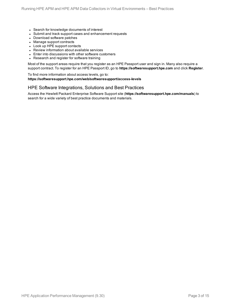- Search for knowledge documents of interest
- Submit and track support cases and enhancement requests
- Download software patches
- Manage support contracts
- Look up HPE support contacts
- Review information about available services
- Enter into discussions with other software customers
- Research and register for software training

Most of the support areas require that you register as an HPE Passport user and sign in. Many also require a support contract. To register for an HPE Passport ID, go to **https://softwaresupport.hpe.com** and click **Register**.

To find more information about access levels, go to: **https://softwaresupport.hpe.com/web/softwaresupport/access-levels**

#### HPE Software Integrations, Solutions and Best Practices

Access the Hewlett Packard Enterprise Software Support site (**https://softwaresupport.hpe.com/manuals**) to search for a wide variety of best practice documents and materials.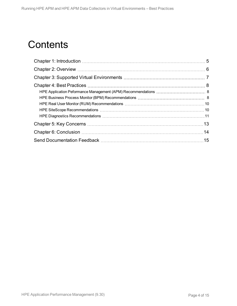## **Contents**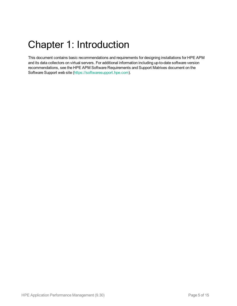# <span id="page-4-0"></span>Chapter 1: Introduction

This document contains basic recommendations and requirements for designing installations for HPE APM and its data collectors on virtual servers. For additional information including up-to-date software version recommendations, see the HPE APM Software Requirements and Support Matrixes document on the Software Support web site [\(https://softwaresupport.hpe.com](https://softwaresupport.hpe.com/)).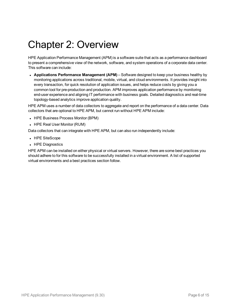## <span id="page-5-0"></span>Chapter 2: Overview

HPE Application Performance Management (APM) is a software suite that acts as a performance dashboard to present a comprehensive view of the network, software, and system operations of a corporate data center. This software can include:

<sup>l</sup> **Applications Performance Management (APM)** – Software designed to keep your business healthy by monitoring applications across traditional, mobile, virtual, and cloud environments. It provides insight into every transaction, for quick resolution of application issues, and helps reduce costs by giving you a common tool for pre-production and production. APM improves application performance by monitoring end-user experience and aligning IT performance with business goals. Detailed diagnostics and real-time topology-based analytics improve application quality.

HPE APM uses a number of data collectors to aggregate and report on the performance of a data center. Data collectors that are optional to HPE APM, but cannot run without HPE APM include:

- HPE Business Process Monitor (BPM)
- HPE Real User Monitor (RUM)

Data collectors that can integrate with HPE APM, but can also run independently include:

- HPE SiteScope
- HPE Diagnostics

HPE APM can be installed on either physical or virtual servers. However, there are some best practices you should adhere to for this software to be successfully installed in a virtual environment. A list of supported virtual environments and a best practices section follow.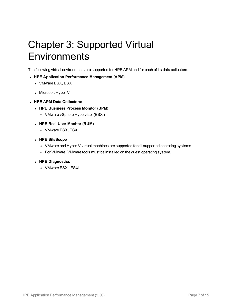# <span id="page-6-0"></span>Chapter 3: Supported Virtual **Environments**

The following virtual environments are supported for HPE APM and for each of its data collectors.

#### <sup>l</sup> **HPE Application Performance Management (APM)**

- VMware ESX, ESXi
- Microsoft Hyper-V
- <sup>l</sup> **HPE APM Data Collectors:**
	- <sup>l</sup> **HPE Business Process Monitor (BPM)**
		- <sup>o</sup> VMware vSphere Hypervisor (ESXi)
	- <sup>l</sup> **HPE Real User Monitor (RUM)**
		- <sup>o</sup> VMware ESX, ESXi
	- <sup>l</sup> **HPE SiteScope**
		- o VMware and Hyper-V virtual machines are supported for all supported operating systems.
		- o For VMware, VMware tools must be installed on the guest operating system.
	- <sup>l</sup> **HPE Diagnostics**
		- <sup>o</sup> VMware ESX , ESXi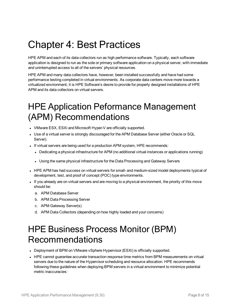## <span id="page-7-0"></span>Chapter 4: Best Practices

HPE APM and each of its data collectors run as high performance software. Typically, each software application is designed to run as the sole or primary software application on a physical server, with immediate and uninterrupted access to all of the servers' physical resources.

HPE APM and many data collectors have, however, been installed successfully and have had some performance testing completed in virtual environments. As corporate data centers move more towards a virtualized environment, it is HPE Software's desire to provide for properly designed installations of HPE APM and its data collectors on virtual servers.

## <span id="page-7-1"></span>HPE Application Peformance Management (APM) Recommendations

- VMware ESX, ESXi and Microsoft Hyper-V are officially supported.
- Use of a virtual server is strongly discouraged for the APM Database Server (either Oracle or SQL Server).
- If virtual servers are being used for a production APM system, HPE recommends:
	- Dedicating a physical infrastructure for APM (no additional virtual instances or applications running)
	- Using the same physical infrastructure for the Data Processing and Gateway Servers
- HPE APM has had success on virtual servers for small- and medium-sized model deployments typical of development, test, and proof of concept (POC) type environments.
- If you already are on virtual servers and are moving to a physical environment, the priority of this move should be:
	- a. APM Database Server
	- b. APM Data Processing Server
	- c. APM Gateway Server(s)
	- d. APM Data Collectors (depending on how highly loaded and your concerns)

## <span id="page-7-2"></span>HPE Business Process Monitor (BPM) Recommendations

- Deployment of BPM on VMware vSphere Hypervisor (ESXi) is officially supported.
- HPE cannot guarantee accurate transaction response time metrics from BPM measurements on virtual servers due to the nature of the Hypervisor scheduling and resource allocation. HPE recommends following these guidelines when deploying BPM servers in a virtual environment to minimize potential metric inaccuracies: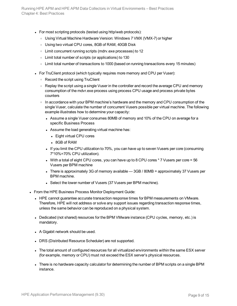- For most scripting protocols (tested using http/web protocols):
	- o Using Virtual Machine Hardware Version: Windows 7 VMX (VMX-7) or higher
	- o Using two virtual CPU cores, 8GB of RAM, 40GB Disk
	- <sup>o</sup> Limit concurrent running scripts (mdrv.exe processes) to 12
	- <sup>o</sup> Limit total number of scripts (or applications) to 130
	- <sup>o</sup> Limit total number of transactions to 1000 (based on running transactions every 15 minutes)
- For TruClient protocol (which typically requires more memory and CPU per Vuser):
	- Record the script using TruClient
	- Replay the script using a single Vuser in the controller and record the average CPU and memory consumption of the mdvr.exe process using process CPU usage and process private bytes counters
	- In accordance with your BPM machine's hardware and the memory and CPU consumption of the single Vuser, calculate the number of concurrent Vusers possible per virtual machine. The following example illustrates how to determine your capacity:
		- Assume a single Vuser consumes 80MB of memory and 10% of the CPU on average for a specific Business Process
		- Assume the load generating virtual machine has:
			- Eight virtual CPU cores
			- 8GB of RAM
		- If you limit the CPU utilization to 70%, you can have up to seven Vusers per core (consuming 7\*10%=70% CPU utilization).
		- With a total of eight CPU cores, you can have up to 8 CPU cores  $*$  7 Vusers per core = 56 Vusers per BPM machine
		- There is approximately 3G of memory available  $-$  3GB / 80MB = approximately 37 Vusers per BPM machine.
		- Select the lower number of Vusers (37 Vusers per BPM machine).
- From the HPE Business Process Monitor Deployment Guide:
	- HPE cannot guarantee accurate transaction response times for BPM measurements on VMware. Therefore, HPE will not address or solve any support issues regarding transaction response times, unless the same behavior can be reproduced on a physical system.
	- Dedicated (not shared) resources for the BPM VMware instance (CPU cycles, memory, etc.) is mandatory.
	- A Gigabit network should be used.
	- DRS (Distributed Resource Scheduler) are not supported.
	- The total amount of configured resources for all virtualized environments within the same ESX server (for example, memory or CPU) must not exceed the ESX server's physical resources.
	- There is no hardware capacity calculator for determining the number of BPM scripts on a single BPM instance.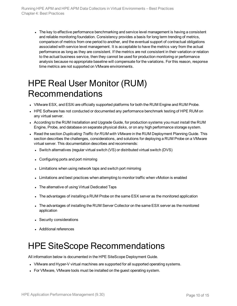The key to effective performance benchmarking and service level management is having a consistent and reliable monitoring foundation. Consistency provides a basis for long term trending of metrics, comparison of metrics from one period to another, and the eventual support of contractual obligations associated with service level management. It is acceptable to have the metrics vary from the actual performance as long as they are consistent. If the metrics are not consistent in their variation or relation to the actual business service, then they cannot be used for production monitoring or performance analysis because no appropriate baseline will compensate for the variations. For this reason, response time metrics are not supported on VMware environments.

## <span id="page-9-0"></span>HPE Real User Monitor (RUM) Recommendations

- VMware ESX, and ESXi are officially supported platforms for both the RUM Engine and RUM Probe.
- HPE Software has not conducted or documented any performance benchmark testing of HPE RUM on any virtual server.
- According to the RUM Installation and Upgrade Guide, for production systems you must install the RUM Engine, Probe, and database on separate physical disks, or on any high performance storage system.
- <sup>l</sup> Read the section *Duplicating Traffic for RUM with VMware* in the RUM Deployment Planning Guide. This section describes the challenges, considerations, and solutions for deploying a RUM Probe on a VMware virtual server. This documentation describes and recommends:
	- Switch alternatives (regular virtual switch  $(VS)$  or distributed virtual switch (DVS)
	- Configuring ports and port mirroring
	- Limitations when using network taps and switch port mirroring
	- Limitations and best practices when attempting to monitor traffic when vMotion is enabled
	- The alternative of using Virtual Dedicated Taps
	- The advantages of installing a RUM Probe on the same ESX server as the monitored application
	- The advantages of installing the RUM Server Collector on the same ESX server as the monitored application
	- Security considerations
	- Additional references

## <span id="page-9-1"></span>HPE SiteScope Recommendations

All information below is documented in the HPE SiteScope Deployment Guide.

- VMware and Hyper-V virtual machines are supported for all supported operating systems.
- For VMware, VMware tools must be installed on the quest operating system.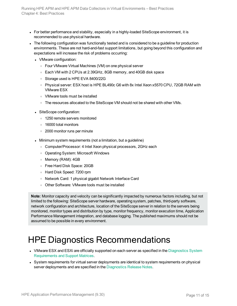- For better performance and stability, especially in a highly-loaded SiteScope environment, it is recommended to use physical hardware.
- The following configuration was functionally tested and is considered to be a guideline for production environments. These are not hard-and-fast support limitations, but going beyond this configuration and expectations will increase the risk of problems occurring:
	- VMware configuration:
		- <sup>o</sup> Four VMware Virtual Machines (VM) on one physical server
		- <sup>o</sup> Each VM with 2 CPUs at 2.39GHz, 8GB memory, and 40GB disk space
		- o Storage used is HPE EVA 8400/22G
		- <sup>o</sup> Physical server: ESX host is HPE BL490c G6 with 8x Intel Xeon x5570 CPU, 72GB RAM with VMware ESX
		- <sup>o</sup> VMware tools must be installed
		- $\circ$  The resources allocated to the SiteScope VM should not be shared with other VMs.
	- SiteScope configuration:
		- <sup>o</sup> 1250 remote servers monitored
		- <sup>o</sup> 16000 total monitors
		- <sup>o</sup> 2000 monitor runs per minute
	- Minimum system requirements (not a limitation, but a guideline)
		- o Computer/Processor: 4 Intel Xeon physical processors, 2GHz each
		- o Operating System: Microsoft Windows
		- <sup>o</sup> Memory (RAM): 4GB
		- <sup>o</sup> Free Hard Disk Space: 20GB
		- <sup>o</sup> Hard Disk Speed: 7200 rpm
		- o Network Card: 1 physical gigabit Network Interface Card
		- <sup>o</sup> Other Software: VMware tools must be installed

**Note:** Monitor capacity and velocity can be significantly impacted by numerous factors including, but not limited to the following: SiteScope server hardware, operating system, patches, third-party software, network configuration and architecture, location of the SiteScope server in relation to the servers being monitored, monitor types and distribution by type, monitor frequency, monitor execution time, Application Performance Management integration, and database logging. The published maximums should not be assumed to be possible in every environment.

## <span id="page-10-0"></span>HPE Diagnostics Recommendations

- VMware ESX and ESXi are officially supported on each server as specified in the [Diagnostics](https://softwaresupport.hpe.com/km/KM01715961/Diagnostics_926_System_Requirements.pdf) System [Requirements](https://softwaresupport.hpe.com/km/KM01715961/Diagnostics_926_System_Requirements.pdf) and Support Matrices.
- System requirements for virtual server deployments are identical to system requirements on physical server deployments and are specified in the [Diagnostics](https://softwaresupport.hpe.com/km/KM01822051/Diagnostics_926_Release_Notes.pdf) Release Notes.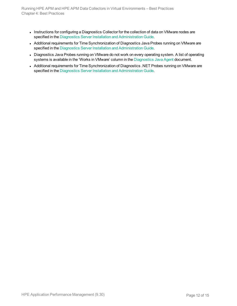- Instructions for configuring a Diagnostics Collector for the collection of data on VMware nodes are specified in the Diagnostics Server Installation and [Administration](https://softwaresupport.hpe.com/km/KM01715956/Diagnostics_926_Server_Install_Guide.pdf) Guide.
- Additional requirements for Time Synchronization of Diagnostics Java Probes running on VMware are specified in the Diagnostics Server Installation and [Administration](https://softwaresupport.hpe.com/km/KM01715956/Diagnostics_926_Server_Install_Guide.pdf) Guide.
- Diagnostics Java Probes running on VMware do not work on every operating system. A list of operating systems is available in the 'Works in VMware' column in the [Diagnostics](https://softwaresupport.hpe.com/km/KM01715954/Diagnostics_926_Java_Agent_Guide.pdf) Java Agent document.
- Additional requirements for Time Synchronization of Diagnostics .NET Probes running on VMware are specified in the Diagnostics Server Installation and [Administration](https://softwaresupport.hpe.com/km/KM01715956/Diagnostics_926_Server_Install_Guide.pdf) Guide.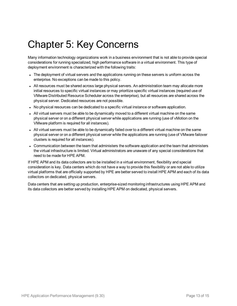# <span id="page-12-0"></span>Chapter 5: Key Concerns

Many information technology organizations work in a business environment that is not able to provide special considerations for running specialized, high performance software in a virtual environment. This type of deployment environment is characterized with the following traits:

- The deployment of virtual servers and the applications running on these servers is uniform across the enterprise. No exceptions can be made to this policy.
- All resources must be shared across large physical servers. An administration team may allocate more initial resources to specific virtual instances or may prioritize specific virtual instances (required use of VMware Distributed Resource Scheduler across the enterprise), but all resources are shared across the physical server. Dedicated resources are not possible.
- No physical resources can be dedicated to a specific virtual instance or software application.
- All virtual servers must be able to be dynamically moved to a different virtual machine on the same physical server or on a different physical server while applications are running (use of vMotion on the VMware platform is required for all instances).
- All virtual servers must be able to be dynamically failed over to a different virtual machine on the same physical server or on a different physical server while the applications are running (use of VMware failover clusters is required for all instances).
- Communication between the team that administers the software application and the team that administers the virtual infrastructure is limited. Virtual administrators are unaware of any special considerations that need to be made for HPE APM.

If HPE APM and its data collectors are to be installed in a virtual environment, flexibility and special consideration is key. Data centers which do not have a way to provide this flexibility or are not able to utilize virtual platforms that are officially supported by HPE are better served to install HPE APM and each of its data collectors on dedicated, physical servers.

Data centers that are setting up production, enterprise-sized monitoring infrastructures using HPE APM and its data collectors are better served by installing HPE APM on dedicated, physical servers.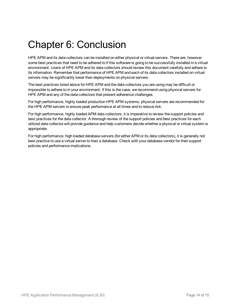## <span id="page-13-0"></span>Chapter 6: Conclusion

HPE APM and its data collectors can be installed on either physical or virtual servers. There are, however some best practices that need to be adhered to if this software is going to be successfully installed in a virtual environment. Users of HPE APM and its data collectors should review this document carefully and adhere to its information. Remember that performance of HPE APM and each of its data collectors installed on virtual servers may be significantly lower than deployments on physical servers.

The best practices listed above for HPE APM and the data collectors you are using may be difficult or impossible to adhere to in your environment. If this is the case, we recommend using physical servers for HPE APM and any of the data collectors that present adherence challenges.

For high performance, highly loaded production HPE APM systems, physical servers are recommended for the HPE APM servers to ensure peak performance at all times and to reduce risk.

For high performance, highly loaded APM data collectors, it is imperative to review the support policies and best practices for the data collector. A thorough review of the support policies and best practices for each utilized data collector will provide guidance and help customers decide whether a physical or virtual system is appropriate.

For high performance, high loaded database servers (for either APM or its data collectors), it is generally not best practice to use a virtual server to host a database. Check with your database vendor for their support policies and performance implications.